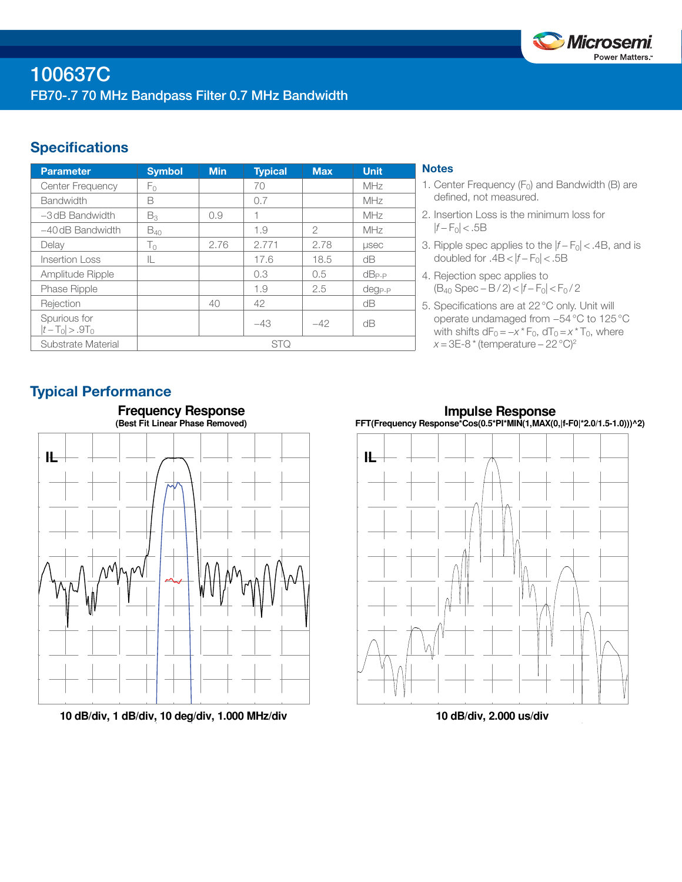

# **Specifications**

| <b>Parameter</b>                  | <b>Symbol</b>  | <b>Min</b> | <b>Typical</b> | <b>Max</b>    | <b>Unit</b> |
|-----------------------------------|----------------|------------|----------------|---------------|-------------|
| Center Frequency                  | Fο             |            | 70             |               | MHz         |
| <b>Bandwidth</b>                  | B              |            | 0.7            |               | MHz         |
| $-3$ dB Bandwidth                 | $B_3$          | 0.9        | 1              |               | MHz         |
| $-40$ dB Bandwidth                | $B_{40}$       |            | 1.9            | $\mathcal{P}$ | MHz         |
| Delay                             | T <sub>0</sub> | 2.76       | 2.771          | 2.78          | <b>µsec</b> |
| <b>Insertion Loss</b>             | IL.            |            | 17.6           | 18.5          | dB          |
| Amplitude Ripple                  |                |            | 0.3            | 0.5           | $dB_{P-P}$  |
| Phase Ripple                      |                |            | 1.9            | 2.5           | $deg_{P-P}$ |
| Rejection                         |                | 40         | 42             |               | dB          |
| Spurious for<br>$ t-T_0  > .9T_0$ |                |            | $-43$          | $-42$         | dB          |
| Substrate Material                | <b>STQ</b>     |            |                |               |             |

## **Notes**

- 1. Center Frequency  $(F_0)$  and Bandwidth (B) are defined, not measured.
- 2. Insertion Loss is the minimum loss for  $|f - F_0|$  < .5B
- 3. Ripple spec applies to the  $|f F_0|$  < .4B, and is doubled for  $.4B < |f - F_0| < .5B$
- 4. Rejection spec applies to (B40 Spec − B / 2) < |*f* − F0| < F0 / 2
- 5. Specifications are at 22°C only. Unit will operate undamaged from −54°C to 125°C with shifts  $dF_0 = -x * F_0$ ,  $dT_0 = x * T_0$ , where *x* = 3E-8 \* (temperature – 22 °C)<sup>2</sup>

# Typical Performance



**10 dB/div, 1 dB/div, 10 deg/div, 1.000 MHz/div**

**Impulse Response FFT(Frequency Response\*Cos(0.5\*PI\*MIN(1,MAX(0,|f-F0|\*2.0/1.5-1.0)))^2)**



**10 dB/div, 2.000 us/div**